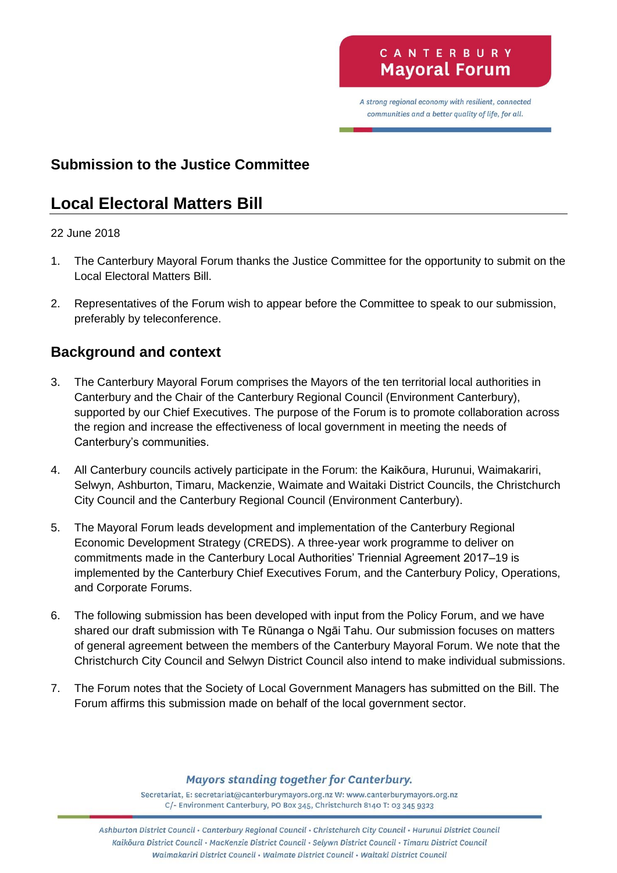A strong regional economy with resilient, connected communities and a better quality of life, for all.

# **Submission to the Justice Committee**

# **Local Electoral Matters Bill**

#### 22 June 2018

- 1. The Canterbury Mayoral Forum thanks the Justice Committee for the opportunity to submit on the Local Electoral Matters Bill.
- 2. Representatives of the Forum wish to appear before the Committee to speak to our submission, preferably by teleconference.

### **Background and context**

- 3. The Canterbury Mayoral Forum comprises the Mayors of the ten territorial local authorities in Canterbury and the Chair of the Canterbury Regional Council (Environment Canterbury), supported by our Chief Executives. The purpose of the Forum is to promote collaboration across the region and increase the effectiveness of local government in meeting the needs of Canterbury's communities.
- 4. All Canterbury councils actively participate in the Forum: the Kaikōura, Hurunui, Waimakariri, Selwyn, Ashburton, Timaru, Mackenzie, Waimate and Waitaki District Councils, the Christchurch City Council and the Canterbury Regional Council (Environment Canterbury).
- 5. The Mayoral Forum leads development and implementation of the Canterbury Regional Economic Development Strategy (CREDS). A three-year work programme to deliver on commitments made in the Canterbury Local Authorities' Triennial Agreement 2017–19 is implemented by the Canterbury Chief Executives Forum, and the Canterbury Policy, Operations, and Corporate Forums.
- 6. The following submission has been developed with input from the Policy Forum, and we have shared our draft submission with Te Rūnanga o Ngāi Tahu. Our submission focuses on matters of general agreement between the members of the Canterbury Mayoral Forum. We note that the Christchurch City Council and Selwyn District Council also intend to make individual submissions.
- 7. The Forum notes that the Society of Local Government Managers has submitted on the Bill. The Forum affirms this submission made on behalf of the local government sector.

**Mayors standing together for Canterbury.** 

Secretariat, E: secretariat@canterburymayors.org.nz W: www.canterburymayors.org.nz C/- Environment Canterbury, PO Box 345, Christchurch 8140 T: 03 345 9323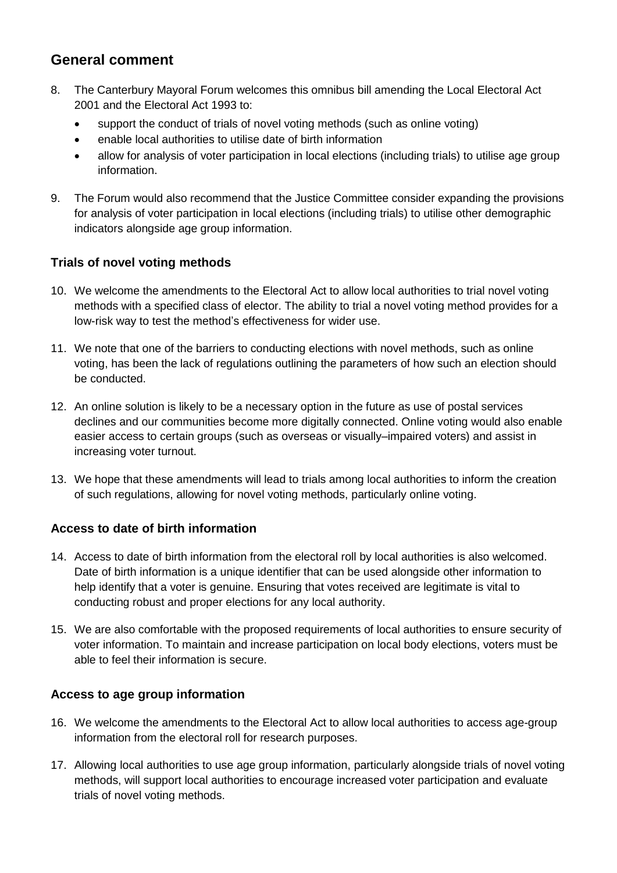## **General comment**

- 8. The Canterbury Mayoral Forum welcomes this omnibus bill amending the Local Electoral Act 2001 and the Electoral Act 1993 to:
	- support the conduct of trials of novel voting methods (such as online voting)
	- enable local authorities to utilise date of birth information
	- allow for analysis of voter participation in local elections (including trials) to utilise age group information.
- 9. The Forum would also recommend that the Justice Committee consider expanding the provisions for analysis of voter participation in local elections (including trials) to utilise other demographic indicators alongside age group information.

#### **Trials of novel voting methods**

- 10. We welcome the amendments to the Electoral Act to allow local authorities to trial novel voting methods with a specified class of elector. The ability to trial a novel voting method provides for a low-risk way to test the method's effectiveness for wider use.
- 11. We note that one of the barriers to conducting elections with novel methods, such as online voting, has been the lack of regulations outlining the parameters of how such an election should be conducted.
- 12. An online solution is likely to be a necessary option in the future as use of postal services declines and our communities become more digitally connected. Online voting would also enable easier access to certain groups (such as overseas or visually–impaired voters) and assist in increasing voter turnout.
- 13. We hope that these amendments will lead to trials among local authorities to inform the creation of such regulations, allowing for novel voting methods, particularly online voting.

#### **Access to date of birth information**

- 14. Access to date of birth information from the electoral roll by local authorities is also welcomed. Date of birth information is a unique identifier that can be used alongside other information to help identify that a voter is genuine. Ensuring that votes received are legitimate is vital to conducting robust and proper elections for any local authority.
- 15. We are also comfortable with the proposed requirements of local authorities to ensure security of voter information. To maintain and increase participation on local body elections, voters must be able to feel their information is secure.

#### **Access to age group information**

- 16. We welcome the amendments to the Electoral Act to allow local authorities to access age-group information from the electoral roll for research purposes.
- 17. Allowing local authorities to use age group information, particularly alongside trials of novel voting methods, will support local authorities to encourage increased voter participation and evaluate trials of novel voting methods.